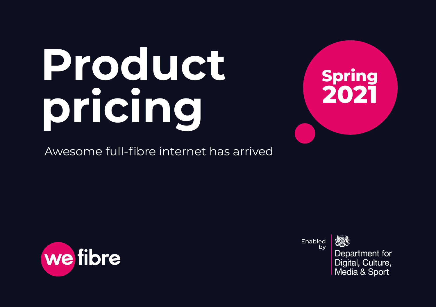# **Product pricing**

Awesome full-fibre internet has arrived





Enabled by

Department for Digital, Culture, Media & Sport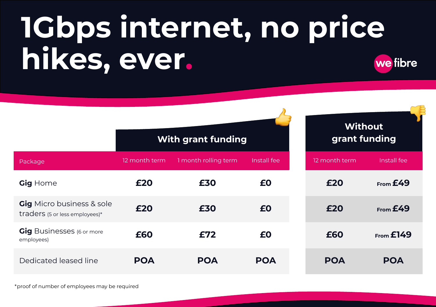# **1Gbps internet, no price hikes, ever.** we fibre

|                                                                    |               | <b>With grant funding</b> | <b>Without</b><br>grant funding |  |               |               |
|--------------------------------------------------------------------|---------------|---------------------------|---------------------------------|--|---------------|---------------|
| Package                                                            | 12 month term | 1 month rolling term      | Install fee                     |  | 12 month term | Install fee   |
| Gig Home                                                           | £20           | £30                       | £0                              |  | £20           | From E49      |
| <b>Gig</b> Micro business & sole<br>traders (5 or less employees)* | £20           | £30                       | £0                              |  | £20           | From E49      |
| <b>Gig</b> Businesses (6 or more<br>employees)                     | £60           | £72                       | £0                              |  | £60           | $From$ $£149$ |
| Dedicated leased line                                              | <b>POA</b>    | <b>POA</b>                | <b>POA</b>                      |  | <b>POA</b>    | <b>POA</b>    |

\*proof of number of employees may be required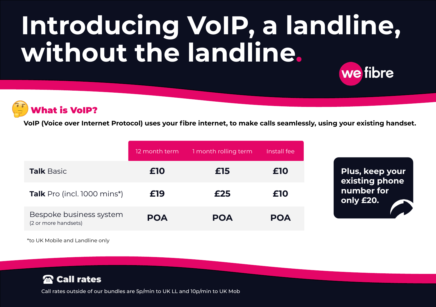# **Introducing VoIP, a landline, without the landline.** we fibre



**VoIP (Voice over Internet Protocol) uses your fibre internet, to make calls seamlessly, using your existing handset.**

|                                                 | 12 month term | 1 month rolling term | Install fee |
|-------------------------------------------------|---------------|----------------------|-------------|
| <b>Talk Basic</b>                               | £10           | £15                  | £10         |
| <b>Talk</b> Pro (incl. 1000 mins*)              | £19           | £25                  | £10         |
| Bespoke business system<br>(2 or more handsets) | <b>POA</b>    | <b>POA</b>           | <b>POA</b>  |

\*to UK Mobile and Landline only



Call rates outside of our bundles are 5p/min to UK LL and 10p/min to UK Mob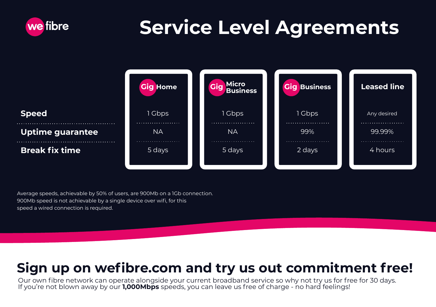

# **Service Level Agreements**



Average speeds, achievable by 50% of users, are 900Mb on a 1Gb connection. 900Mb speed is not achievable by a single device over wifi, for this speed a wired connection is required.

### **Sign up on wefibre.com and try us out commitment free!**

Our own fibre network can operate alongside your current broadband service so why not try us for free for 30 days. If you're not blown away by our **1,000Mbps** speeds, you can leave us free of charge - no hard feelings!